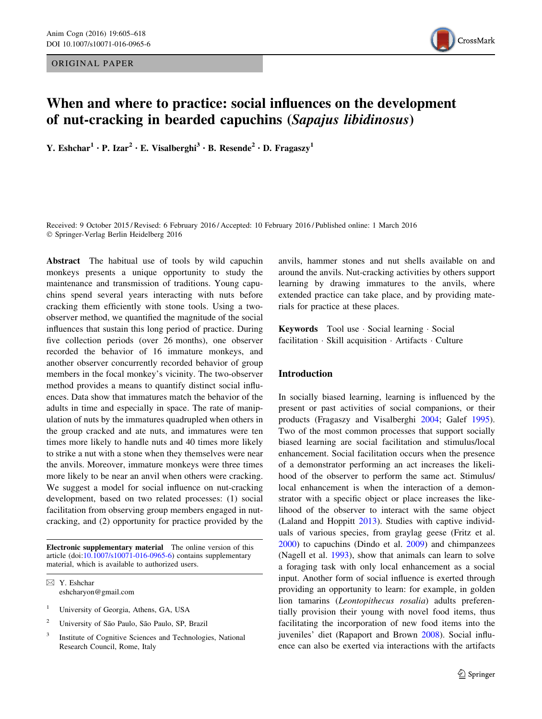ORIGINAL PAPER



# When and where to practice: social influences on the development of nut-cracking in bearded capuchins (Sapajus libidinosus)

Y. Eshchar<sup>1</sup> • P. Izar<sup>2</sup> • E. Visalberghi<sup>3</sup> • B. Resende<sup>2</sup> • D. Fragaszy<sup>1</sup>

Received: 9 October 2015 / Revised: 6 February 2016 / Accepted: 10 February 2016 / Published online: 1 March 2016 - Springer-Verlag Berlin Heidelberg 2016

Abstract The habitual use of tools by wild capuchin monkeys presents a unique opportunity to study the maintenance and transmission of traditions. Young capuchins spend several years interacting with nuts before cracking them efficiently with stone tools. Using a twoobserver method, we quantified the magnitude of the social influences that sustain this long period of practice. During five collection periods (over 26 months), one observer recorded the behavior of 16 immature monkeys, and another observer concurrently recorded behavior of group members in the focal monkey's vicinity. The two-observer method provides a means to quantify distinct social influences. Data show that immatures match the behavior of the adults in time and especially in space. The rate of manipulation of nuts by the immatures quadrupled when others in the group cracked and ate nuts, and immatures were ten times more likely to handle nuts and 40 times more likely to strike a nut with a stone when they themselves were near the anvils. Moreover, immature monkeys were three times more likely to be near an anvil when others were cracking. We suggest a model for social influence on nut-cracking development, based on two related processes: (1) social facilitation from observing group members engaged in nutcracking, and (2) opportunity for practice provided by the

Electronic supplementary material The online version of this article (doi:[10.1007/s10071-016-0965-6\)](http://dx.doi.org/10.1007/s10071-016-0965-6) contains supplementary material, which is available to authorized users.

 $\boxtimes$  Y. Eshchar eshcharyon@gmail.com

- <sup>1</sup> University of Georgia, Athens, GA, USA
- <sup>2</sup> University of São Paulo, São Paulo, SP, Brazil
- Institute of Cognitive Sciences and Technologies, National Research Council, Rome, Italy

anvils, hammer stones and nut shells available on and around the anvils. Nut-cracking activities by others support learning by drawing immatures to the anvils, where extended practice can take place, and by providing materials for practice at these places.

Keywords Tool use - Social learning - Social facilitation · Skill acquisition · Artifacts · Culture

# Introduction

In socially biased learning, learning is influenced by the present or past activities of social companions, or their products (Fragaszy and Visalberghi [2004;](#page-12-0) Galef [1995](#page-13-0)). Two of the most common processes that support socially biased learning are social facilitation and stimulus/local enhancement. Social facilitation occurs when the presence of a demonstrator performing an act increases the likelihood of the observer to perform the same act. Stimulus/ local enhancement is when the interaction of a demonstrator with a specific object or place increases the likelihood of the observer to interact with the same object (Laland and Hoppitt [2013](#page-13-0)). Studies with captive individuals of various species, from graylag geese (Fritz et al. [2000](#page-13-0)) to capuchins (Dindo et al. [2009\)](#page-12-0) and chimpanzees (Nagell et al. [1993\)](#page-13-0), show that animals can learn to solve a foraging task with only local enhancement as a social input. Another form of social influence is exerted through providing an opportunity to learn: for example, in golden lion tamarins (Leontopithecus rosalia) adults preferentially provision their young with novel food items, thus facilitating the incorporation of new food items into the juveniles' diet (Rapaport and Brown [2008](#page-13-0)). Social influence can also be exerted via interactions with the artifacts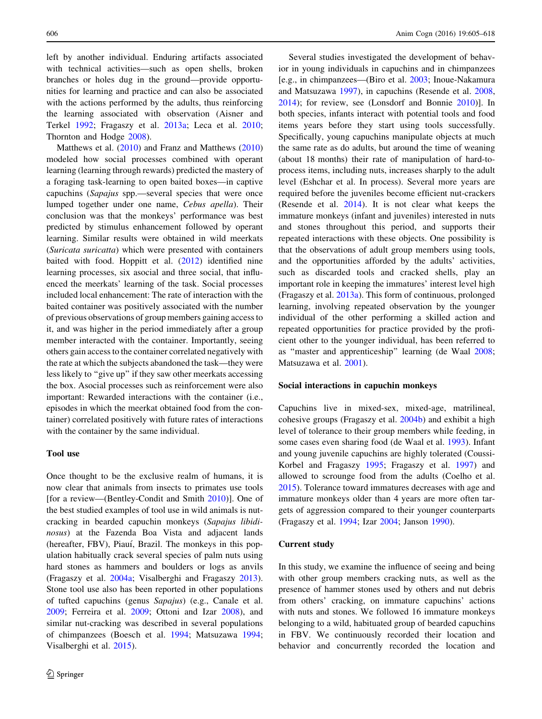left by another individual. Enduring artifacts associated with technical activities—such as open shells, broken branches or holes dug in the ground—provide opportunities for learning and practice and can also be associated with the actions performed by the adults, thus reinforcing the learning associated with observation (Aisner and Terkel [1992;](#page-12-0) Fragaszy et al. [2013a](#page-13-0); Leca et al. [2010](#page-13-0); Thornton and Hodge [2008\)](#page-13-0).

Matthews et al. ([2010\)](#page-13-0) and Franz and Matthews ([2010\)](#page-13-0) modeled how social processes combined with operant learning (learning through rewards) predicted the mastery of a foraging task-learning to open baited boxes—in captive capuchins (Sapajus spp.—several species that were once lumped together under one name, Cebus apella). Their conclusion was that the monkeys' performance was best predicted by stimulus enhancement followed by operant learning. Similar results were obtained in wild meerkats (Suricata suricatta) which were presented with containers baited with food. Hoppitt et al. [\(2012](#page-13-0)) identified nine learning processes, six asocial and three social, that influenced the meerkats' learning of the task. Social processes included local enhancement: The rate of interaction with the baited container was positively associated with the number of previous observations of group members gaining access to it, and was higher in the period immediately after a group member interacted with the container. Importantly, seeing others gain access to the container correlated negatively with the rate at which the subjects abandoned the task—they were less likely to "give up" if they saw other meerkats accessing the box. Asocial processes such as reinforcement were also important: Rewarded interactions with the container (i.e., episodes in which the meerkat obtained food from the container) correlated positively with future rates of interactions with the container by the same individual.

#### Tool use

Once thought to be the exclusive realm of humans, it is now clear that animals from insects to primates use tools [for a review—(Bentley-Condit and Smith [2010](#page-12-0))]. One of the best studied examples of tool use in wild animals is nutcracking in bearded capuchin monkeys (Sapajus libidinosus) at the Fazenda Boa Vista and adjacent lands (hereafter, FBV), Piauı´, Brazil. The monkeys in this population habitually crack several species of palm nuts using hard stones as hammers and boulders or logs as anvils (Fragaszy et al. [2004a](#page-12-0); Visalberghi and Fragaszy [2013](#page-13-0)). Stone tool use also has been reported in other populations of tufted capuchins (genus Sapajus) (e.g., Canale et al. [2009;](#page-12-0) Ferreira et al. [2009;](#page-12-0) Ottoni and Izar [2008\)](#page-13-0), and similar nut-cracking was described in several populations of chimpanzees (Boesch et al. [1994](#page-12-0); Matsuzawa [1994](#page-13-0); Visalberghi et al. [2015\)](#page-13-0).

Several studies investigated the development of behavior in young individuals in capuchins and in chimpanzees [e.g., in chimpanzees—(Biro et al. [2003](#page-12-0); Inoue-Nakamura and Matsuzawa [1997](#page-13-0)), in capuchins (Resende et al. [2008,](#page-13-0) [2014](#page-13-0)); for review, see (Lonsdorf and Bonnie [2010](#page-13-0))]. In both species, infants interact with potential tools and food items years before they start using tools successfully. Specifically, young capuchins manipulate objects at much the same rate as do adults, but around the time of weaning (about 18 months) their rate of manipulation of hard-toprocess items, including nuts, increases sharply to the adult level (Eshchar et al. In process). Several more years are required before the juveniles become efficient nut-crackers (Resende et al. [2014\)](#page-13-0). It is not clear what keeps the immature monkeys (infant and juveniles) interested in nuts and stones throughout this period, and supports their repeated interactions with these objects. One possibility is that the observations of adult group members using tools, and the opportunities afforded by the adults' activities, such as discarded tools and cracked shells, play an important role in keeping the immatures' interest level high (Fragaszy et al. [2013a](#page-13-0)). This form of continuous, prolonged learning, involving repeated observation by the younger individual of the other performing a skilled action and repeated opportunities for practice provided by the proficient other to the younger individual, has been referred to as ''master and apprenticeship'' learning (de Waal [2008](#page-12-0); Matsuzawa et al. [2001\)](#page-13-0).

#### Social interactions in capuchin monkeys

Capuchins live in mixed-sex, mixed-age, matrilineal, cohesive groups (Fragaszy et al. [2004b\)](#page-12-0) and exhibit a high level of tolerance to their group members while feeding, in some cases even sharing food (de Waal et al. [1993\)](#page-12-0). Infant and young juvenile capuchins are highly tolerated (Coussi-Korbel and Fragaszy [1995;](#page-12-0) Fragaszy et al. [1997\)](#page-12-0) and allowed to scrounge food from the adults (Coelho et al. [2015](#page-12-0)). Tolerance toward immatures decreases with age and immature monkeys older than 4 years are more often targets of aggression compared to their younger counterparts (Fragaszy et al. [1994;](#page-12-0) Izar [2004;](#page-13-0) Janson [1990](#page-13-0)).

#### Current study

In this study, we examine the influence of seeing and being with other group members cracking nuts, as well as the presence of hammer stones used by others and nut debris from others' cracking, on immature capuchins' actions with nuts and stones. We followed 16 immature monkeys belonging to a wild, habituated group of bearded capuchins in FBV. We continuously recorded their location and behavior and concurrently recorded the location and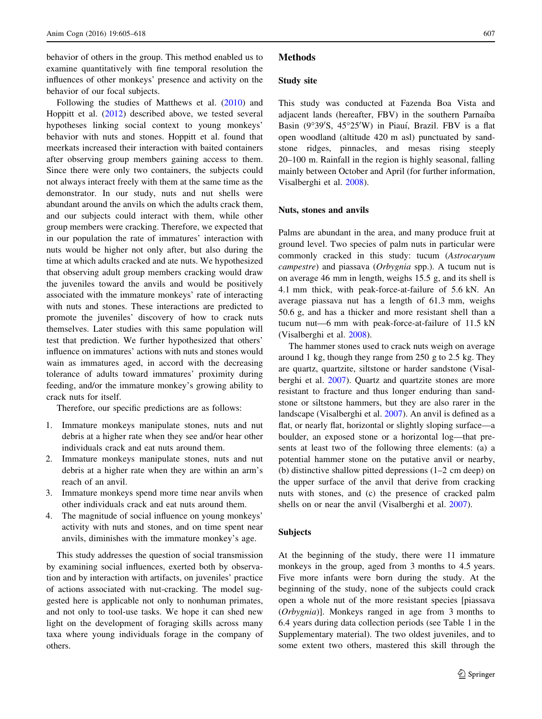behavior of others in the group. This method enabled us to examine quantitatively with fine temporal resolution the influences of other monkeys' presence and activity on the behavior of our focal subjects.

Following the studies of Matthews et al. [\(2010](#page-13-0)) and Hoppitt et al. [\(2012](#page-13-0)) described above, we tested several hypotheses linking social context to young monkeys' behavior with nuts and stones. Hoppitt et al. found that meerkats increased their interaction with baited containers after observing group members gaining access to them. Since there were only two containers, the subjects could not always interact freely with them at the same time as the demonstrator. In our study, nuts and nut shells were abundant around the anvils on which the adults crack them, and our subjects could interact with them, while other group members were cracking. Therefore, we expected that in our population the rate of immatures' interaction with nuts would be higher not only after, but also during the time at which adults cracked and ate nuts. We hypothesized that observing adult group members cracking would draw the juveniles toward the anvils and would be positively associated with the immature monkeys' rate of interacting with nuts and stones. These interactions are predicted to promote the juveniles' discovery of how to crack nuts themselves. Later studies with this same population will test that prediction. We further hypothesized that others' influence on immatures' actions with nuts and stones would wain as immatures aged, in accord with the decreasing tolerance of adults toward immatures' proximity during feeding, and/or the immature monkey's growing ability to crack nuts for itself.

Therefore, our specific predictions are as follows:

- 1. Immature monkeys manipulate stones, nuts and nut debris at a higher rate when they see and/or hear other individuals crack and eat nuts around them.
- 2. Immature monkeys manipulate stones, nuts and nut debris at a higher rate when they are within an arm's reach of an anvil.
- 3. Immature monkeys spend more time near anvils when other individuals crack and eat nuts around them.
- 4. The magnitude of social influence on young monkeys' activity with nuts and stones, and on time spent near anvils, diminishes with the immature monkey's age.

This study addresses the question of social transmission by examining social influences, exerted both by observation and by interaction with artifacts, on juveniles' practice of actions associated with nut-cracking. The model suggested here is applicable not only to nonhuman primates, and not only to tool-use tasks. We hope it can shed new light on the development of foraging skills across many taxa where young individuals forage in the company of others.

#### Methods

#### Study site

This study was conducted at Fazenda Boa Vista and adjacent lands (hereafter, FBV) in the southern Parnaı´ba Basin (9°39'S, 45°25'W) in Piauí, Brazil. FBV is a flat open woodland (altitude 420 m asl) punctuated by sandstone ridges, pinnacles, and mesas rising steeply 20–100 m. Rainfall in the region is highly seasonal, falling mainly between October and April (for further information, Visalberghi et al. [2008\)](#page-13-0).

#### Nuts, stones and anvils

Palms are abundant in the area, and many produce fruit at ground level. Two species of palm nuts in particular were commonly cracked in this study: tucum (Astrocaryum campestre) and piassava (Orbygnia spp.). A tucum nut is on average 46 mm in length, weighs 15.5 g, and its shell is 4.1 mm thick, with peak-force-at-failure of 5.6 kN. An average piassava nut has a length of 61.3 mm, weighs 50.6 g, and has a thicker and more resistant shell than a tucum nut—6 mm with peak-force-at-failure of 11.5 kN (Visalberghi et al. [2008](#page-13-0)).

The hammer stones used to crack nuts weigh on average around 1 kg, though they range from 250 g to 2.5 kg. They are quartz, quartzite, siltstone or harder sandstone (Visalberghi et al. [2007](#page-13-0)). Quartz and quartzite stones are more resistant to fracture and thus longer enduring than sandstone or siltstone hammers, but they are also rarer in the landscape (Visalberghi et al. [2007\)](#page-13-0). An anvil is defined as a flat, or nearly flat, horizontal or slightly sloping surface—a boulder, an exposed stone or a horizontal log—that presents at least two of the following three elements: (a) a potential hammer stone on the putative anvil or nearby, (b) distinctive shallow pitted depressions (1–2 cm deep) on the upper surface of the anvil that derive from cracking nuts with stones, and (c) the presence of cracked palm shells on or near the anvil (Visalberghi et al. [2007\)](#page-13-0).

### Subjects

At the beginning of the study, there were 11 immature monkeys in the group, aged from 3 months to 4.5 years. Five more infants were born during the study. At the beginning of the study, none of the subjects could crack open a whole nut of the more resistant species [piassava (Orbygnia)]. Monkeys ranged in age from 3 months to 6.4 years during data collection periods (see Table 1 in the Supplementary material). The two oldest juveniles, and to some extent two others, mastered this skill through the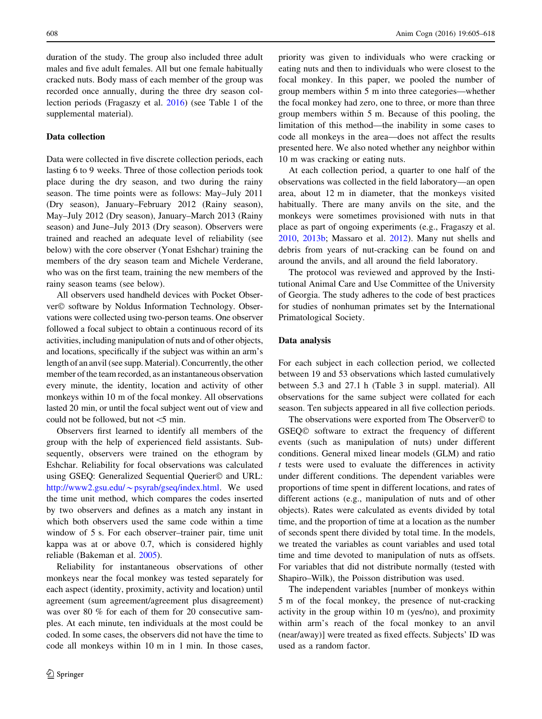duration of the study. The group also included three adult males and five adult females. All but one female habitually cracked nuts. Body mass of each member of the group was recorded once annually, during the three dry season collection periods (Fragaszy et al. [2016\)](#page-13-0) (see Table 1 of the supplemental material).

#### Data collection

Data were collected in five discrete collection periods, each lasting 6 to 9 weeks. Three of those collection periods took place during the dry season, and two during the rainy season. The time points were as follows: May–July 2011 (Dry season), January–February 2012 (Rainy season), May–July 2012 (Dry season), January–March 2013 (Rainy season) and June–July 2013 (Dry season). Observers were trained and reached an adequate level of reliability (see below) with the core observer (Yonat Eshchar) training the members of the dry season team and Michele Verderane, who was on the first team, training the new members of the rainy season teams (see below).

All observers used handheld devices with Pocket Observer© software by Noldus Information Technology. Observations were collected using two-person teams. One observer followed a focal subject to obtain a continuous record of its activities, including manipulation of nuts and of other objects, and locations, specifically if the subject was within an arm's length of an anvil (see supp. Material). Concurrently, the other member of the team recorded, as an instantaneous observation every minute, the identity, location and activity of other monkeys within 10 m of the focal monkey. All observations lasted 20 min, or until the focal subject went out of view and could not be followed, but not  $\leq$  min.

Observers first learned to identify all members of the group with the help of experienced field assistants. Subsequently, observers were trained on the ethogram by Eshchar. Reliability for focal observations was calculated using GSEQ: Generalized Sequential Querier© and URL: http://www2.gsu.edu/ $\sim$ [psyrab/gseq/index.html](http://www2.gsu.edu/%7epsyrab/gseq/index.html). We used the time unit method, which compares the codes inserted by two observers and defines as a match any instant in which both observers used the same code within a time window of 5 s. For each observer–trainer pair, time unit kappa was at or above 0.7, which is considered highly reliable (Bakeman et al. [2005\)](#page-12-0).

Reliability for instantaneous observations of other monkeys near the focal monkey was tested separately for each aspect (identity, proximity, activity and location) until agreement (sum agreement/agreement plus disagreement) was over 80 % for each of them for 20 consecutive samples. At each minute, ten individuals at the most could be coded. In some cases, the observers did not have the time to code all monkeys within 10 m in 1 min. In those cases, priority was given to individuals who were cracking or eating nuts and then to individuals who were closest to the focal monkey. In this paper, we pooled the number of group members within 5 m into three categories—whether the focal monkey had zero, one to three, or more than three group members within 5 m. Because of this pooling, the limitation of this method—the inability in some cases to code all monkeys in the area—does not affect the results presented here. We also noted whether any neighbor within 10 m was cracking or eating nuts.

At each collection period, a quarter to one half of the observations was collected in the field laboratory—an open area, about 12 m in diameter, that the monkeys visited habitually. There are many anvils on the site, and the monkeys were sometimes provisioned with nuts in that place as part of ongoing experiments (e.g., Fragaszy et al. [2010](#page-13-0), [2013b;](#page-13-0) Massaro et al. [2012](#page-13-0)). Many nut shells and debris from years of nut-cracking can be found on and around the anvils, and all around the field laboratory.

The protocol was reviewed and approved by the Institutional Animal Care and Use Committee of the University of Georgia. The study adheres to the code of best practices for studies of nonhuman primates set by the International Primatological Society.

### Data analysis

For each subject in each collection period, we collected between 19 and 53 observations which lasted cumulatively between 5.3 and 27.1 h (Table 3 in suppl. material). All observations for the same subject were collated for each season. Ten subjects appeared in all five collection periods.

The observations were exported from The Observer© to GSEQ<sup>©</sup> software to extract the frequency of different events (such as manipulation of nuts) under different conditions. General mixed linear models (GLM) and ratio  $t$  tests were used to evaluate the differences in activity under different conditions. The dependent variables were proportions of time spent in different locations, and rates of different actions (e.g., manipulation of nuts and of other objects). Rates were calculated as events divided by total time, and the proportion of time at a location as the number of seconds spent there divided by total time. In the models, we treated the variables as count variables and used total time and time devoted to manipulation of nuts as offsets. For variables that did not distribute normally (tested with Shapiro–Wilk), the Poisson distribution was used.

The independent variables [number of monkeys within 5 m of the focal monkey, the presence of nut-cracking activity in the group within 10 m (yes/no), and proximity within arm's reach of the focal monkey to an anvil (near/away)] were treated as fixed effects. Subjects' ID was used as a random factor.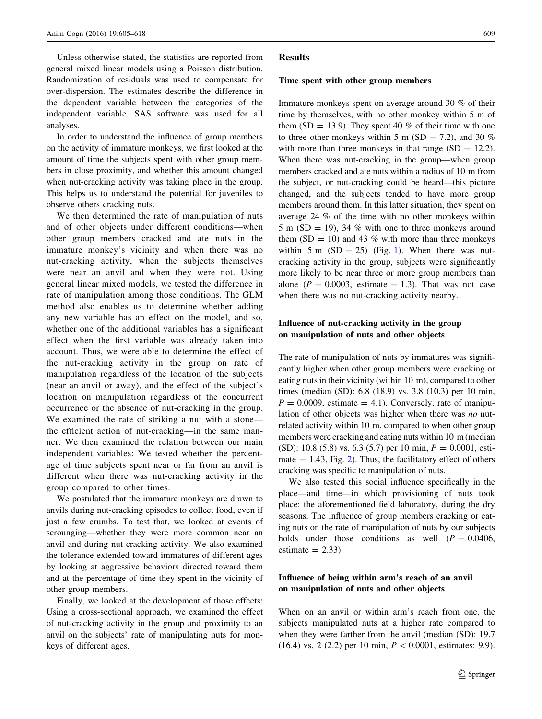Unless otherwise stated, the statistics are reported from general mixed linear models using a Poisson distribution. Randomization of residuals was used to compensate for over-dispersion. The estimates describe the difference in the dependent variable between the categories of the independent variable. SAS software was used for all analyses.

In order to understand the influence of group members on the activity of immature monkeys, we first looked at the amount of time the subjects spent with other group members in close proximity, and whether this amount changed when nut-cracking activity was taking place in the group. This helps us to understand the potential for juveniles to observe others cracking nuts.

We then determined the rate of manipulation of nuts and of other objects under different conditions—when other group members cracked and ate nuts in the immature monkey's vicinity and when there was no nut-cracking activity, when the subjects themselves were near an anvil and when they were not. Using general linear mixed models, we tested the difference in rate of manipulation among those conditions. The GLM method also enables us to determine whether adding any new variable has an effect on the model, and so, whether one of the additional variables has a significant effect when the first variable was already taken into account. Thus, we were able to determine the effect of the nut-cracking activity in the group on rate of manipulation regardless of the location of the subjects (near an anvil or away), and the effect of the subject's location on manipulation regardless of the concurrent occurrence or the absence of nut-cracking in the group. We examined the rate of striking a nut with a stone the efficient action of nut-cracking—in the same manner. We then examined the relation between our main independent variables: We tested whether the percentage of time subjects spent near or far from an anvil is different when there was nut-cracking activity in the group compared to other times.

We postulated that the immature monkeys are drawn to anvils during nut-cracking episodes to collect food, even if just a few crumbs. To test that, we looked at events of scrounging—whether they were more common near an anvil and during nut-cracking activity. We also examined the tolerance extended toward immatures of different ages by looking at aggressive behaviors directed toward them and at the percentage of time they spent in the vicinity of other group members.

Finally, we looked at the development of those effects: Using a cross-sectional approach, we examined the effect of nut-cracking activity in the group and proximity to an anvil on the subjects' rate of manipulating nuts for monkeys of different ages.

#### **Results**

#### Time spent with other group members

Immature monkeys spent on average around 30 % of their time by themselves, with no other monkey within 5 m of them (SD = 13.9). They spent 40 % of their time with one to three other monkeys within 5 m (SD = 7.2), and 30 % with more than three monkeys in that range  $(SD = 12.2)$ . When there was nut-cracking in the group—when group members cracked and ate nuts within a radius of 10 m from the subject, or nut-cracking could be heard—this picture changed, and the subjects tended to have more group members around them. In this latter situation, they spent on average 24 % of the time with no other monkeys within 5 m (SD = 19), 34 % with one to three monkeys around them  $(SD = 10)$  and 43 % with more than three monkeys within 5 m  $(SD = 25)$  (Fig. [1\)](#page-5-0). When there was nutcracking activity in the group, subjects were significantly more likely to be near three or more group members than alone ( $P = 0.0003$ , estimate = 1.3). That was not case when there was no nut-cracking activity nearby.

# Influence of nut-cracking activity in the group on manipulation of nuts and other objects

The rate of manipulation of nuts by immatures was significantly higher when other group members were cracking or eating nuts in their vicinity (within 10 m), compared to other times (median (SD): 6.8 (18.9) vs. 3.8 (10.3) per 10 min,  $P = 0.0009$ , estimate = 4.1). Conversely, rate of manipulation of other objects was higher when there was no nutrelated activity within 10 m, compared to when other group members were cracking and eating nuts within 10 m (median (SD): 10.8 (5.8) vs. 6.3 (5.7) per 10 min,  $P = 0.0001$ , estimate  $= 1.43$ , Fig. [2\)](#page-5-0). Thus, the facilitatory effect of others cracking was specific to manipulation of nuts.

We also tested this social influence specifically in the place—and time—in which provisioning of nuts took place: the aforementioned field laboratory, during the dry seasons. The influence of group members cracking or eating nuts on the rate of manipulation of nuts by our subjects holds under those conditions as well  $(P = 0.0406,$ estimate  $= 2.33$ ).

### Influence of being within arm's reach of an anvil on manipulation of nuts and other objects

When on an anvil or within arm's reach from one, the subjects manipulated nuts at a higher rate compared to when they were farther from the anvil (median (SD): 19.7 (16.4) vs. 2 (2.2) per 10 min,  $P < 0.0001$ , estimates: 9.9).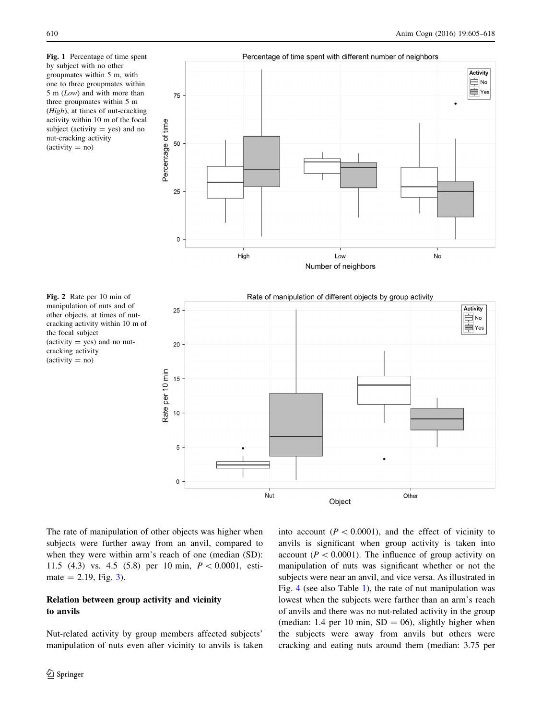<span id="page-5-0"></span>Fig. 1 Percentage of time spent by subject with no other groupmates within 5 m, with one to three groupmates within 5m(Low) and with more than three groupmates within 5 m (High), at times of nut-cracking activity within 10 m of the focal subject (activity  $=$  yes) and no nut-cracking activity  $(activity = no)$ 



Fig. 2 Rate per 10 min of manipulation of nuts and of other objects, at times of nutcracking activity within 10 m of the focal subject  $(\text{activity} = \text{yes})$  and no nutcracking activity  $(activity = no)$ 

The rate of manipulation of other objects was higher when subjects were further away from an anvil, compared to when they were within arm's reach of one (median (SD): 11.5 (4.3) vs. 4.5 (5.8) per 10 min,  $P \le 0.0001$ , estimate  $= 2.19$ , Fig. [3](#page-6-0)).

### Relation between group activity and vicinity to anvils

Nut-related activity by group members affected subjects' manipulation of nuts even after vicinity to anvils is taken into account ( $P \lt 0.0001$ ), and the effect of vicinity to anvils is significant when group activity is taken into account ( $P \lt 0.0001$ ). The influence of group activity on manipulation of nuts was significant whether or not the subjects were near an anvil, and vice versa. As illustrated in Fig. [4](#page-7-0) (see also Table [1\)](#page-6-0), the rate of nut manipulation was lowest when the subjects were farther than an arm's reach of anvils and there was no nut-related activity in the group (median: 1.4 per 10 min,  $SD = 06$ ), slightly higher when the subjects were away from anvils but others were cracking and eating nuts around them (median: 3.75 per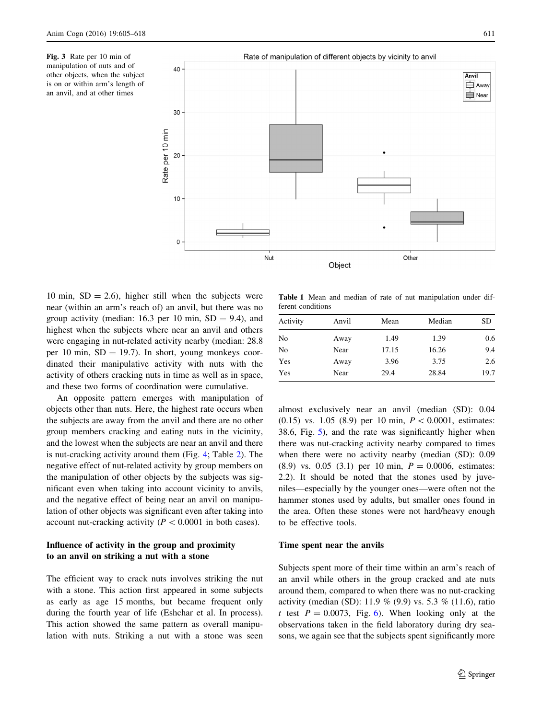<span id="page-6-0"></span>Fig. 3 Rate per 10 min of manipulation of nuts and of other objects, when the subject is on or within arm's length of an anvil, and at other times



10 min,  $SD = 2.6$ ), higher still when the subjects were near (within an arm's reach of) an anvil, but there was no group activity (median:  $16.3$  per 10 min, SD = 9.4), and highest when the subjects where near an anvil and others were engaging in nut-related activity nearby (median: 28.8 per 10 min,  $SD = 19.7$ ). In short, young monkeys coordinated their manipulative activity with nuts with the activity of others cracking nuts in time as well as in space, and these two forms of coordination were cumulative.

An opposite pattern emerges with manipulation of objects other than nuts. Here, the highest rate occurs when the subjects are away from the anvil and there are no other group members cracking and eating nuts in the vicinity, and the lowest when the subjects are near an anvil and there is nut-cracking activity around them (Fig. [4](#page-7-0); Table [2\)](#page-7-0). The negative effect of nut-related activity by group members on the manipulation of other objects by the subjects was significant even when taking into account vicinity to anvils, and the negative effect of being near an anvil on manipulation of other objects was significant even after taking into account nut-cracking activity ( $P < 0.0001$  in both cases).

# Influence of activity in the group and proximity to an anvil on striking a nut with a stone

The efficient way to crack nuts involves striking the nut with a stone. This action first appeared in some subjects as early as age 15 months, but became frequent only during the fourth year of life (Eshchar et al. In process). This action showed the same pattern as overall manipulation with nuts. Striking a nut with a stone was seen

Table 1 Mean and median of rate of nut manipulation under different conditions

| Activity | Anvil | Mean  | Median | SD   |
|----------|-------|-------|--------|------|
| No       | Away  | 1.49  | 1.39   | 0.6  |
| No       | Near  | 17.15 | 16.26  | 9.4  |
| Yes      | Away  | 3.96  | 3.75   | 2.6  |
| Yes      | Near  | 29.4  | 28.84  | 19.7 |

almost exclusively near an anvil (median (SD): 0.04 (0.15) vs. 1.05 (8.9) per 10 min,  $P < 0.0001$ , estimates: 38.6, Fig. [5](#page-7-0)), and the rate was significantly higher when there was nut-cracking activity nearby compared to times when there were no activity nearby (median (SD): 0.09  $(8.9)$  vs. 0.05  $(3.1)$  per 10 min,  $P = 0.0006$ , estimates: 2.2). It should be noted that the stones used by juveniles—especially by the younger ones—were often not the hammer stones used by adults, but smaller ones found in the area. Often these stones were not hard/heavy enough to be effective tools.

#### Time spent near the anvils

Subjects spent more of their time within an arm's reach of an anvil while others in the group cracked and ate nuts around them, compared to when there was no nut-cracking activity (median (SD): 11.9 % (9.9) vs. 5.3 % (11.6), ratio t test  $P = 0.0073$ , Fig. [6\)](#page-8-0). When looking only at the observations taken in the field laboratory during dry seasons, we again see that the subjects spent significantly more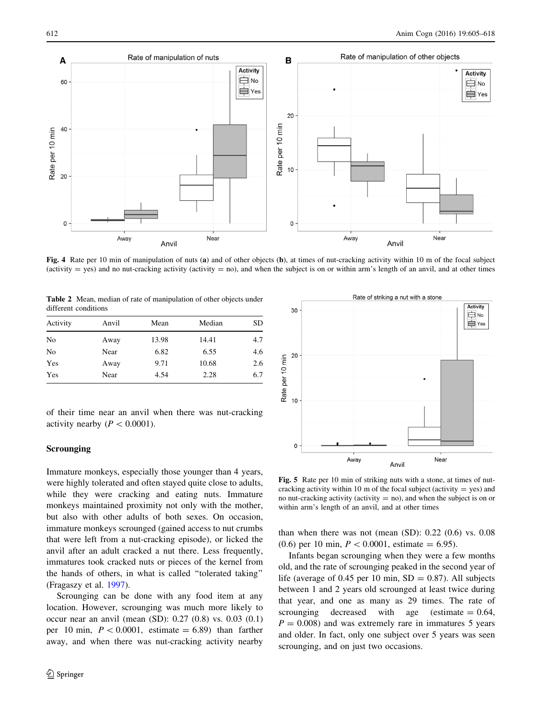<span id="page-7-0"></span>

Fig. 4 Rate per 10 min of manipulation of nuts (a) and of other objects (b), at times of nut-cracking activity within 10 m of the focal subject (activity = yes) and no nut-cracking activity (activity = no), and when the subject is on or within arm's length of an anvil, and at other times

Table 2 Mean, median of rate of manipulation of other objects under different conditions

| Activity | Anvil | Mean  | Median | SD  |
|----------|-------|-------|--------|-----|
| No       | Away  | 13.98 | 14.41  | 4.7 |
| No       | Near  | 6.82  | 6.55   | 4.6 |
| Yes      | Away  | 9.71  | 10.68  | 2.6 |
| Yes      | Near  | 4.54  | 2.28   | 6.7 |

of their time near an anvil when there was nut-cracking activity nearby  $(P<0.0001)$ .

### Scrounging

Immature monkeys, especially those younger than 4 years, were highly tolerated and often stayed quite close to adults, while they were cracking and eating nuts. Immature monkeys maintained proximity not only with the mother, but also with other adults of both sexes. On occasion, immature monkeys scrounged (gained access to nut crumbs that were left from a nut-cracking episode), or licked the anvil after an adult cracked a nut there. Less frequently, immatures took cracked nuts or pieces of the kernel from the hands of others, in what is called ''tolerated taking'' (Fragaszy et al. [1997](#page-12-0)).

Scrounging can be done with any food item at any location. However, scrounging was much more likely to occur near an anvil (mean (SD): 0.27 (0.8) vs. 0.03 (0.1) per 10 min,  $P \lt 0.0001$ , estimate = 6.89) than farther away, and when there was nut-cracking activity nearby



Fig. 5 Rate per 10 min of striking nuts with a stone, at times of nutcracking activity within 10 m of the focal subject (activity  $=$  yes) and no nut-cracking activity (activity  $=$  no), and when the subject is on or within arm's length of an anvil, and at other times

than when there was not (mean  $(SD)$ : 0.22  $(0.6)$  vs. 0.08 (0.6) per 10 min,  $P < 0.0001$ , estimate = 6.95).

Infants began scrounging when they were a few months old, and the rate of scrounging peaked in the second year of life (average of 0.45 per 10 min,  $SD = 0.87$ ). All subjects between 1 and 2 years old scrounged at least twice during that year, and one as many as 29 times. The rate of scrounging decreased with age (estimate  $= 0.64$ ,  $P = 0.008$ ) and was extremely rare in immatures 5 years and older. In fact, only one subject over 5 years was seen scrounging, and on just two occasions.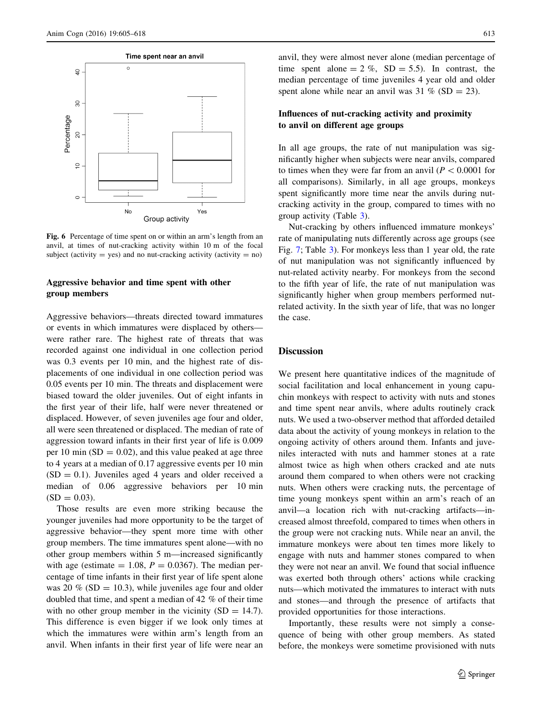<span id="page-8-0"></span>

Fig. 6 Percentage of time spent on or within an arm's length from an anvil, at times of nut-cracking activity within 10 m of the focal subject (activity = yes) and no nut-cracking activity (activity =  $no$ )

# Aggressive behavior and time spent with other group members

Aggressive behaviors—threats directed toward immatures or events in which immatures were displaced by others were rather rare. The highest rate of threats that was recorded against one individual in one collection period was 0.3 events per 10 min, and the highest rate of displacements of one individual in one collection period was 0.05 events per 10 min. The threats and displacement were biased toward the older juveniles. Out of eight infants in the first year of their life, half were never threatened or displaced. However, of seven juveniles age four and older, all were seen threatened or displaced. The median of rate of aggression toward infants in their first year of life is 0.009 per 10 min ( $SD = 0.02$ ), and this value peaked at age three to 4 years at a median of 0.17 aggressive events per 10 min  $(SD = 0.1)$ . Juveniles aged 4 years and older received a median of 0.06 aggressive behaviors per 10 min  $(SD = 0.03)$ .

Those results are even more striking because the younger juveniles had more opportunity to be the target of aggressive behavior—they spent more time with other group members. The time immatures spent alone—with no other group members within 5 m—increased significantly with age (estimate  $= 1.08$ ,  $P = 0.0367$ ). The median percentage of time infants in their first year of life spent alone was 20  $\%$  (SD = 10.3), while juveniles age four and older doubled that time, and spent a median of 42 % of their time with no other group member in the vicinity  $(SD = 14.7)$ . This difference is even bigger if we look only times at which the immatures were within arm's length from an anvil. When infants in their first year of life were near an anvil, they were almost never alone (median percentage of time spent alone  $= 2\%$ , SD  $= 5.5$ ). In contrast, the median percentage of time juveniles 4 year old and older spent alone while near an anvil was  $31\%$  (SD = 23).

# Influences of nut-cracking activity and proximity to anvil on different age groups

In all age groups, the rate of nut manipulation was significantly higher when subjects were near anvils, compared to times when they were far from an anvil ( $P \lt 0.0001$  for all comparisons). Similarly, in all age groups, monkeys spent significantly more time near the anvils during nutcracking activity in the group, compared to times with no group activity (Table [3\)](#page-9-0).

Nut-cracking by others influenced immature monkeys' rate of manipulating nuts differently across age groups (see Fig. [7](#page-9-0); Table [3\)](#page-9-0). For monkeys less than 1 year old, the rate of nut manipulation was not significantly influenced by nut-related activity nearby. For monkeys from the second to the fifth year of life, the rate of nut manipulation was significantly higher when group members performed nutrelated activity. In the sixth year of life, that was no longer the case.

# Discussion

We present here quantitative indices of the magnitude of social facilitation and local enhancement in young capuchin monkeys with respect to activity with nuts and stones and time spent near anvils, where adults routinely crack nuts. We used a two-observer method that afforded detailed data about the activity of young monkeys in relation to the ongoing activity of others around them. Infants and juveniles interacted with nuts and hammer stones at a rate almost twice as high when others cracked and ate nuts around them compared to when others were not cracking nuts. When others were cracking nuts, the percentage of time young monkeys spent within an arm's reach of an anvil—a location rich with nut-cracking artifacts—increased almost threefold, compared to times when others in the group were not cracking nuts. While near an anvil, the immature monkeys were about ten times more likely to engage with nuts and hammer stones compared to when they were not near an anvil. We found that social influence was exerted both through others' actions while cracking nuts—which motivated the immatures to interact with nuts and stones—and through the presence of artifacts that provided opportunities for those interactions.

Importantly, these results were not simply a consequence of being with other group members. As stated before, the monkeys were sometime provisioned with nuts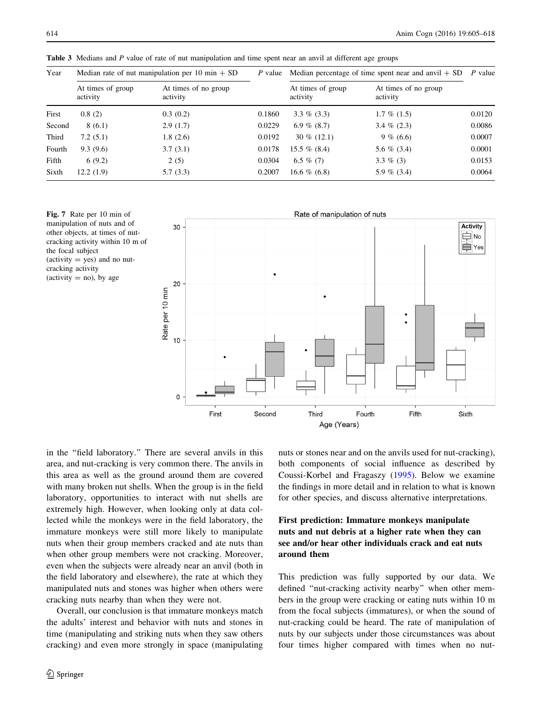| Year   | Median rate of nut manipulation per 10 min $+$ SD |                                  | P value | Median percentage of time spent near and anvil $+$ SD |                                  | P value |
|--------|---------------------------------------------------|----------------------------------|---------|-------------------------------------------------------|----------------------------------|---------|
|        | At times of group<br>activity                     | At times of no group<br>activity |         | At times of group<br>activity                         | At times of no group<br>activity |         |
| First  | 0.8(2)                                            | 0.3(0.2)                         | 0.1860  | $3.3\%$ (3.3)                                         | $1.7\%$ (1.5)                    | 0.0120  |
| Second | 8(6.1)                                            | 2.9(1.7)                         | 0.0229  | 6.9 % $(8.7)$                                         | 3.4 $\%$ (2.3)                   | 0.0086  |
| Third  | 7.2(5.1)                                          | 1.8(2.6)                         | 0.0192  | $30\%$ (12.1)                                         | $9\%$ (6.6)                      | 0.0007  |
| Fourth | 9.3(9.6)                                          | 3.7(3.1)                         | 0.0178  | 15.5 $\%$ (8.4)                                       | 5.6 $\%$ (3.4)                   | 0.0001  |
| Fifth  | 6(9.2)                                            | 2(5)                             | 0.0304  | 6.5 % (7)                                             | $3.3\%$ (3)                      | 0.0153  |
| Sixth  | 12.2 (1.9)                                        | 5.7(3.3)                         | 0.2007  | 16.6 $\%$ (6.8)                                       | 5.9 $\%$ (3.4)                   | 0.0064  |

<span id="page-9-0"></span>Table 3 Medians and P value of rate of nut manipulation and time spent near an anvil at different age groups

Fig. 7 Rate per 10 min of manipulation of nuts and of other objects, at times of nutcracking activity within 10 m of the focal subject  $(\text{activity} = \text{yes})$  and no nutcracking activity  $(\text{activity} = \text{no})$ , by age



in the ''field laboratory.'' There are several anvils in this area, and nut-cracking is very common there. The anvils in this area as well as the ground around them are covered with many broken nut shells. When the group is in the field laboratory, opportunities to interact with nut shells are extremely high. However, when looking only at data collected while the monkeys were in the field laboratory, the immature monkeys were still more likely to manipulate nuts when their group members cracked and ate nuts than when other group members were not cracking. Moreover, even when the subjects were already near an anvil (both in the field laboratory and elsewhere), the rate at which they manipulated nuts and stones was higher when others were cracking nuts nearby than when they were not.

Overall, our conclusion is that immature monkeys match the adults' interest and behavior with nuts and stones in time (manipulating and striking nuts when they saw others cracking) and even more strongly in space (manipulating nuts or stones near and on the anvils used for nut-cracking), both components of social influence as described by Coussi-Korbel and Fragaszy [\(1995](#page-12-0)). Below we examine the findings in more detail and in relation to what is known for other species, and discuss alternative interpretations.

# First prediction: Immature monkeys manipulate nuts and nut debris at a higher rate when they can see and/or hear other individuals crack and eat nuts around them

This prediction was fully supported by our data. We defined ''nut-cracking activity nearby'' when other members in the group were cracking or eating nuts within 10 m from the focal subjects (immatures), or when the sound of nut-cracking could be heard. The rate of manipulation of nuts by our subjects under those circumstances was about four times higher compared with times when no nut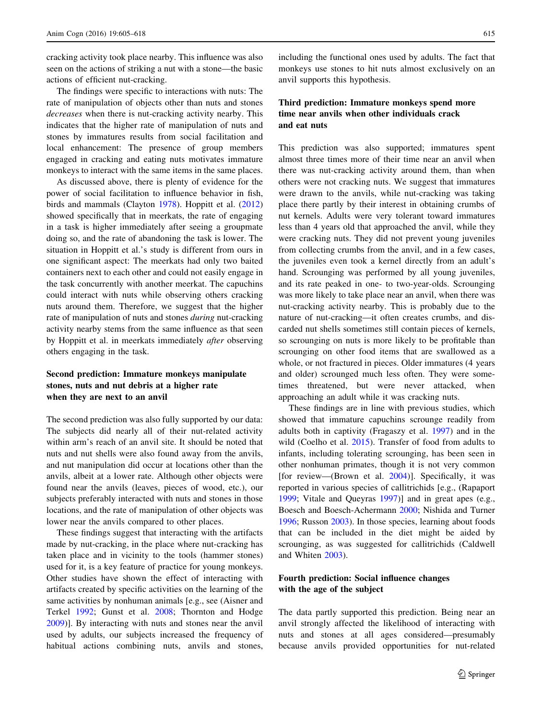cracking activity took place nearby. This influence was also seen on the actions of striking a nut with a stone—the basic actions of efficient nut-cracking.

The findings were specific to interactions with nuts: The rate of manipulation of objects other than nuts and stones decreases when there is nut-cracking activity nearby. This indicates that the higher rate of manipulation of nuts and stones by immatures results from social facilitation and local enhancement: The presence of group members engaged in cracking and eating nuts motivates immature monkeys to interact with the same items in the same places.

As discussed above, there is plenty of evidence for the power of social facilitation to influence behavior in fish, birds and mammals (Clayton [1978](#page-12-0)). Hoppitt et al. ([2012\)](#page-13-0) showed specifically that in meerkats, the rate of engaging in a task is higher immediately after seeing a groupmate doing so, and the rate of abandoning the task is lower. The situation in Hoppitt et al.'s study is different from ours in one significant aspect: The meerkats had only two baited containers next to each other and could not easily engage in the task concurrently with another meerkat. The capuchins could interact with nuts while observing others cracking nuts around them. Therefore, we suggest that the higher rate of manipulation of nuts and stones during nut-cracking activity nearby stems from the same influence as that seen by Hoppitt et al. in meerkats immediately after observing others engaging in the task.

# Second prediction: Immature monkeys manipulate stones, nuts and nut debris at a higher rate when they are next to an anvil

The second prediction was also fully supported by our data: The subjects did nearly all of their nut-related activity within arm's reach of an anvil site. It should be noted that nuts and nut shells were also found away from the anvils, and nut manipulation did occur at locations other than the anvils, albeit at a lower rate. Although other objects were found near the anvils (leaves, pieces of wood, etc.), our subjects preferably interacted with nuts and stones in those locations, and the rate of manipulation of other objects was lower near the anvils compared to other places.

These findings suggest that interacting with the artifacts made by nut-cracking, in the place where nut-cracking has taken place and in vicinity to the tools (hammer stones) used for it, is a key feature of practice for young monkeys. Other studies have shown the effect of interacting with artifacts created by specific activities on the learning of the same activities by nonhuman animals [e.g., see (Aisner and Terkel [1992](#page-12-0); Gunst et al. [2008](#page-13-0); Thornton and Hodge [2009\)](#page-13-0)]. By interacting with nuts and stones near the anvil used by adults, our subjects increased the frequency of habitual actions combining nuts, anvils and stones,

including the functional ones used by adults. The fact that monkeys use stones to hit nuts almost exclusively on an anvil supports this hypothesis.

# Third prediction: Immature monkeys spend more time near anvils when other individuals crack and eat nuts

This prediction was also supported; immatures spent almost three times more of their time near an anvil when there was nut-cracking activity around them, than when others were not cracking nuts. We suggest that immatures were drawn to the anvils, while nut-cracking was taking place there partly by their interest in obtaining crumbs of nut kernels. Adults were very tolerant toward immatures less than 4 years old that approached the anvil, while they were cracking nuts. They did not prevent young juveniles from collecting crumbs from the anvil, and in a few cases, the juveniles even took a kernel directly from an adult's hand. Scrounging was performed by all young juveniles, and its rate peaked in one- to two-year-olds. Scrounging was more likely to take place near an anvil, when there was nut-cracking activity nearby. This is probably due to the nature of nut-cracking—it often creates crumbs, and discarded nut shells sometimes still contain pieces of kernels, so scrounging on nuts is more likely to be profitable than scrounging on other food items that are swallowed as a whole, or not fractured in pieces. Older immatures (4 years and older) scrounged much less often. They were sometimes threatened, but were never attacked, when approaching an adult while it was cracking nuts.

These findings are in line with previous studies, which showed that immature capuchins scrounge readily from adults both in captivity (Fragaszy et al. [1997\)](#page-12-0) and in the wild (Coelho et al. [2015\)](#page-12-0). Transfer of food from adults to infants, including tolerating scrounging, has been seen in other nonhuman primates, though it is not very common [for review—(Brown et al. [2004\)](#page-12-0)]. Specifically, it was reported in various species of callitrichids [e.g., (Rapaport [1999](#page-13-0); Vitale and Queyras [1997](#page-13-0))] and in great apes (e.g., Boesch and Boesch-Achermann [2000](#page-12-0); Nishida and Turner [1996](#page-13-0); Russon [2003\)](#page-13-0). In those species, learning about foods that can be included in the diet might be aided by scrounging, as was suggested for callitrichids (Caldwell and Whiten [2003\)](#page-12-0).

# Fourth prediction: Social influence changes with the age of the subject

The data partly supported this prediction. Being near an anvil strongly affected the likelihood of interacting with nuts and stones at all ages considered—presumably because anvils provided opportunities for nut-related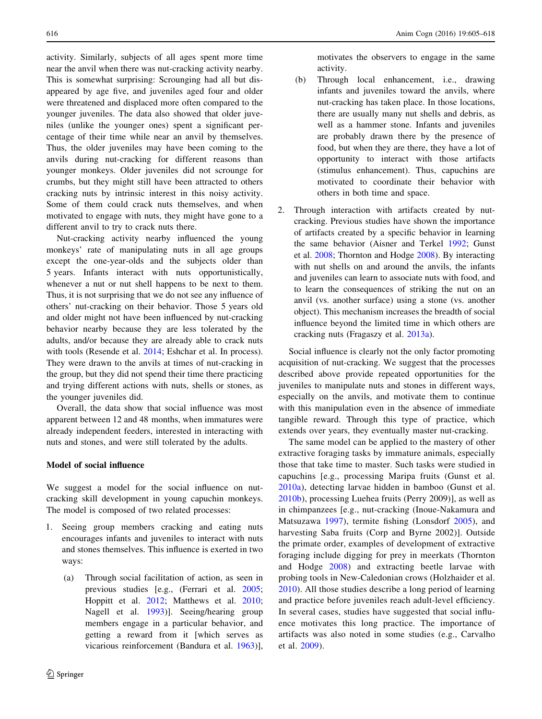activity. Similarly, subjects of all ages spent more time near the anvil when there was nut-cracking activity nearby. This is somewhat surprising: Scrounging had all but disappeared by age five, and juveniles aged four and older were threatened and displaced more often compared to the younger juveniles. The data also showed that older juveniles (unlike the younger ones) spent a significant percentage of their time while near an anvil by themselves. Thus, the older juveniles may have been coming to the anvils during nut-cracking for different reasons than younger monkeys. Older juveniles did not scrounge for crumbs, but they might still have been attracted to others cracking nuts by intrinsic interest in this noisy activity. Some of them could crack nuts themselves, and when motivated to engage with nuts, they might have gone to a different anvil to try to crack nuts there.

Nut-cracking activity nearby influenced the young monkeys' rate of manipulating nuts in all age groups except the one-year-olds and the subjects older than 5 years. Infants interact with nuts opportunistically, whenever a nut or nut shell happens to be next to them. Thus, it is not surprising that we do not see any influence of others' nut-cracking on their behavior. Those 5 years old and older might not have been influenced by nut-cracking behavior nearby because they are less tolerated by the adults, and/or because they are already able to crack nuts with tools (Resende et al. [2014;](#page-13-0) Eshchar et al. In process). They were drawn to the anvils at times of nut-cracking in the group, but they did not spend their time there practicing and trying different actions with nuts, shells or stones, as the younger juveniles did.

Overall, the data show that social influence was most apparent between 12 and 48 months, when immatures were already independent feeders, interested in interacting with nuts and stones, and were still tolerated by the adults.

### Model of social influence

We suggest a model for the social influence on nutcracking skill development in young capuchin monkeys. The model is composed of two related processes:

- 1. Seeing group members cracking and eating nuts encourages infants and juveniles to interact with nuts and stones themselves. This influence is exerted in two ways:
	- (a) Through social facilitation of action, as seen in previous studies [e.g., (Ferrari et al. [2005](#page-12-0); Hoppitt et al. [2012;](#page-13-0) Matthews et al. [2010](#page-13-0); Nagell et al. [1993\)](#page-13-0)]. Seeing/hearing group members engage in a particular behavior, and getting a reward from it [which serves as vicarious reinforcement (Bandura et al. [1963](#page-12-0))],

motivates the observers to engage in the same activity.

- (b) Through local enhancement, i.e., drawing infants and juveniles toward the anvils, where nut-cracking has taken place. In those locations, there are usually many nut shells and debris, as well as a hammer stone. Infants and juveniles are probably drawn there by the presence of food, but when they are there, they have a lot of opportunity to interact with those artifacts (stimulus enhancement). Thus, capuchins are motivated to coordinate their behavior with others in both time and space.
- 2. Through interaction with artifacts created by nutcracking. Previous studies have shown the importance of artifacts created by a specific behavior in learning the same behavior (Aisner and Terkel [1992;](#page-12-0) Gunst et al. [2008;](#page-13-0) Thornton and Hodge [2008](#page-13-0)). By interacting with nut shells on and around the anvils, the infants and juveniles can learn to associate nuts with food, and to learn the consequences of striking the nut on an anvil (vs. another surface) using a stone (vs. another object). This mechanism increases the breadth of social influence beyond the limited time in which others are cracking nuts (Fragaszy et al. [2013a\)](#page-13-0).

Social influence is clearly not the only factor promoting acquisition of nut-cracking. We suggest that the processes described above provide repeated opportunities for the juveniles to manipulate nuts and stones in different ways, especially on the anvils, and motivate them to continue with this manipulation even in the absence of immediate tangible reward. Through this type of practice, which extends over years, they eventually master nut-cracking.

The same model can be applied to the mastery of other extractive foraging tasks by immature animals, especially those that take time to master. Such tasks were studied in capuchins [e.g., processing Maripa fruits (Gunst et al. [2010a](#page-13-0)), detecting larvae hidden in bamboo (Gunst et al. [2010b\)](#page-13-0), processing Luehea fruits (Perry 2009)], as well as in chimpanzees [e.g., nut-cracking (Inoue-Nakamura and Matsuzawa [1997](#page-13-0)), termite fishing (Lonsdorf [2005](#page-13-0)), and harvesting Saba fruits (Corp and Byrne 2002)]. Outside the primate order, examples of development of extractive foraging include digging for prey in meerkats (Thornton and Hodge [2008](#page-13-0)) and extracting beetle larvae with probing tools in New-Caledonian crows (Holzhaider et al. [2010](#page-13-0)). All those studies describe a long period of learning and practice before juveniles reach adult-level efficiency. In several cases, studies have suggested that social influence motivates this long practice. The importance of artifacts was also noted in some studies (e.g., Carvalho et al. [2009\)](#page-12-0).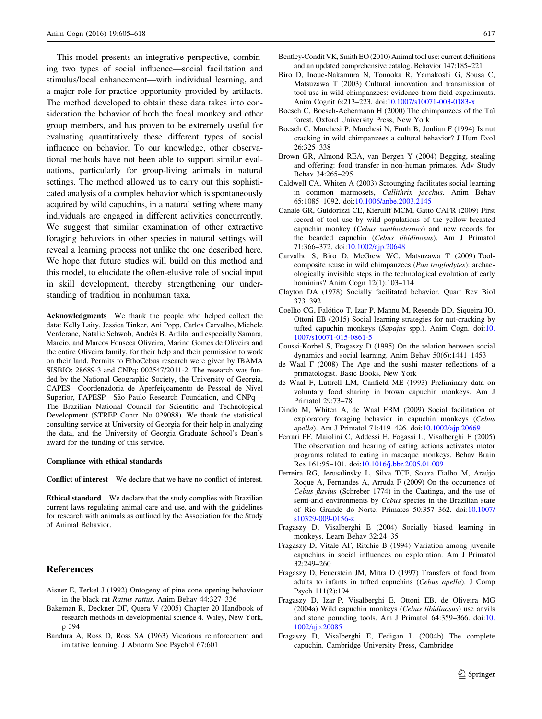<span id="page-12-0"></span>This model presents an integrative perspective, combining two types of social influence—social facilitation and stimulus/local enhancement—with individual learning, and a major role for practice opportunity provided by artifacts. The method developed to obtain these data takes into consideration the behavior of both the focal monkey and other group members, and has proven to be extremely useful for evaluating quantitatively these different types of social influence on behavior. To our knowledge, other observational methods have not been able to support similar evaluations, particularly for group-living animals in natural settings. The method allowed us to carry out this sophisticated analysis of a complex behavior which is spontaneously acquired by wild capuchins, in a natural setting where many individuals are engaged in different activities concurrently. We suggest that similar examination of other extractive foraging behaviors in other species in natural settings will reveal a learning process not unlike the one described here. We hope that future studies will build on this method and this model, to elucidate the often-elusive role of social input in skill development, thereby strengthening our understanding of tradition in nonhuman taxa.

Acknowledgments We thank the people who helped collect the data: Kelly Laity, Jessica Tinker, Ani Popp, Carlos Carvalho, Michele Verderane, Natalie Schwob, Andrès B. Ardila; and especially Samara, Marcio, and Marcos Fonseca Oliveira, Marino Gomes de Oliveira and the entire Oliveira family, for their help and their permission to work on their land. Permits to EthoCebus research were given by IBAMA SISBIO: 28689-3 and CNPq: 002547/2011-2. The research was funded by the National Geographic Society, the University of Georgia, CAPES—Coordenadoria de Aperfeicoamento de Pessoal de Nível Superior, FAPESP-São Paulo Research Foundation, and CNPq-The Brazilian National Council for Scientific and Technological Development (STREP Contr. No 029088). We thank the statistical consulting service at University of Georgia for their help in analyzing the data, and the University of Georgia Graduate School's Dean's award for the funding of this service.

#### Compliance with ethical standards

Conflict of interest We declare that we have no conflict of interest.

Ethical standard We declare that the study complies with Brazilian current laws regulating animal care and use, and with the guidelines for research with animals as outlined by the Association for the Study of Animal Behavior.

### References

- Aisner E, Terkel J (1992) Ontogeny of pine cone opening behaviour in the black rat Rattus rattus. Anim Behav 44:327–336
- Bakeman R, Deckner DF, Quera V (2005) Chapter 20 Handbook of research methods in developmental science 4. Wiley, New York, p 394
- Bandura A, Ross D, Ross SA (1963) Vicarious reinforcement and imitative learning. J Abnorm Soc Psychol 67:601
- Bentley-Condit VK, Smith EO (2010) Animal tool use: current definitions and an updated comprehensive catalog. Behavior 147:185–221
- Biro D, Inoue-Nakamura N, Tonooka R, Yamakoshi G, Sousa C, Matsuzawa T (2003) Cultural innovation and transmission of tool use in wild chimpanzees: evidence from field experiments. Anim Cognit 6:213–223. doi:[10.1007/s10071-003-0183-x](http://dx.doi.org/10.1007/s10071-003-0183-x)
- Boesch C, Boesch-Achermann H (2000) The chimpanzees of the Tai forest. Oxford University Press, New York
- Boesch C, Marchesi P, Marchesi N, Fruth B, Joulian F (1994) Is nut cracking in wild chimpanzees a cultural behavior? J Hum Evol 26:325–338
- Brown GR, Almond REA, van Bergen Y (2004) Begging, stealing and offering: food transfer in non-human primates. Adv Study Behav 34:265–295
- Caldwell CA, Whiten A (2003) Scrounging facilitates social learning in common marmosets, Callithrix jacchus. Anim Behav 65:1085–1092. doi[:10.1006/anbe.2003.2145](http://dx.doi.org/10.1006/anbe.2003.2145)
- Canale GR, Guidorizzi CE, Kierulff MCM, Gatto CAFR (2009) First record of tool use by wild populations of the yellow-breasted capuchin monkey (Cebus xanthosternos) and new records for the bearded capuchin (Cebus libidinosus). Am J Primatol 71:366–372. doi:[10.1002/ajp.20648](http://dx.doi.org/10.1002/ajp.20648)
- Carvalho S, Biro D, McGrew WC, Matsuzawa T (2009) Toolcomposite reuse in wild chimpanzees (Pan troglodytes): archaeologically invisible steps in the technological evolution of early hominins? Anim Cogn 12(1):103–114
- Clayton DA (1978) Socially facilitated behavior. Quart Rev Biol 373–392
- Coelho CG, Falótico T, Izar P, Mannu M, Resende BD, Siqueira JO, Ottoni EB (2015) Social learning strategies for nut-cracking by tufted capuchin monkeys (Sapajus spp.). Anim Cogn. doi:[10.](http://dx.doi.org/10.1007/s10071-015-0861-5) [1007/s10071-015-0861-5](http://dx.doi.org/10.1007/s10071-015-0861-5)
- Coussi-Korbel S, Fragaszy D (1995) On the relation between social dynamics and social learning. Anim Behav 50(6):1441–1453
- de Waal F (2008) The Ape and the sushi master reflections of a primatologist. Basic Books, New York
- de Waal F, Luttrell LM, Canfield ME (1993) Preliminary data on voluntary food sharing in brown capuchin monkeys. Am J Primatol 29:73–78
- Dindo M, Whiten A, de Waal FBM (2009) Social facilitation of exploratory foraging behavior in capuchin monkeys (Cebus apella). Am J Primatol 71:419–426. doi:[10.1002/ajp.20669](http://dx.doi.org/10.1002/ajp.20669)
- Ferrari PF, Maiolini C, Addessi E, Fogassi L, Visalberghi E (2005) The observation and hearing of eating actions activates motor programs related to eating in macaque monkeys. Behav Brain Res 161:95–101. doi[:10.1016/j.bbr.2005.01.009](http://dx.doi.org/10.1016/j.bbr.2005.01.009)
- Ferreira RG, Jerusalinsky L, Silva TCF, Souza Fialho M, Arau´jo Roque A, Fernandes A, Arruda F (2009) On the occurrence of Cebus flavius (Schreber 1774) in the Caatinga, and the use of semi-arid environments by Cebus species in the Brazilian state of Rio Grande do Norte. Primates 50:357–362. doi[:10.1007/](http://dx.doi.org/10.1007/s10329-009-0156-z) [s10329-009-0156-z](http://dx.doi.org/10.1007/s10329-009-0156-z)
- Fragaszy D, Visalberghi E (2004) Socially biased learning in monkeys. Learn Behav 32:24–35
- Fragaszy D, Vitale AF, Ritchie B (1994) Variation among juvenile capuchins in social influences on exploration. Am J Primatol 32:249–260
- Fragaszy D, Feuerstein JM, Mitra D (1997) Transfers of food from adults to infants in tufted capuchins (Cebus apella). J Comp Psych 111(2):194
- Fragaszy D, Izar P, Visalberghi E, Ottoni EB, de Oliveira MG (2004a) Wild capuchin monkeys (Cebus libidinosus) use anvils and stone pounding tools. Am J Primatol 64:359–366. doi:[10.](http://dx.doi.org/10.1002/ajp.20085) [1002/ajp.20085](http://dx.doi.org/10.1002/ajp.20085)
- Fragaszy D, Visalberghi E, Fedigan L (2004b) The complete capuchin. Cambridge University Press, Cambridge